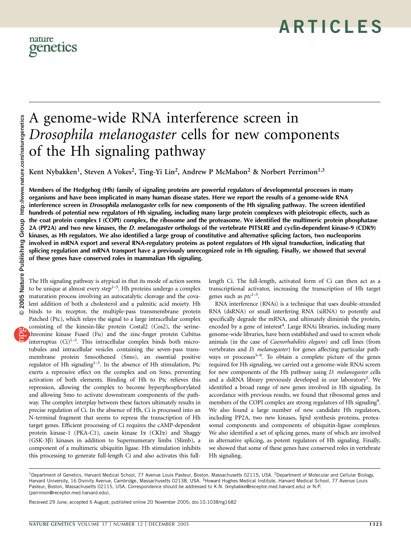

# A genome-wide RNA interference screen in Drosophila melanogaster cells for new components of the Hh signaling pathway

Kent Nybakken<sup>1</sup>, Steven A Vokes<sup>2</sup>, Ting-Yi Lin<sup>2</sup>, Andrew P McMahon<sup>2</sup> & Norbert Perrimon<sup>1,3</sup>

Members of the Hedgehog (Hh) family of signaling proteins are powerful regulators of developmental processes in many organisms and have been implicated in many human disease states. Here we report the results of a genome-wide RNA interference screen in Drosophila melanogaster cells for new components of the Hh signaling pathway. The screen identified hundreds of potential new regulators of Hh signaling, including many large protein complexes with pleiotropic effects, such as the coat protein complex I (COPI) complex, the ribosome and the proteasome. We identified the multimeric protein phosphatase 2A (PP2A) and two new kinases, the D. melanogaster orthologs of the vertebrate PITSLRE and cyclin-dependent kinase-9 (CDK9) kinases, as Hh regulators. We also identified a large group of constitutive and alternative splicing factors, two nucleoporins involved in mRNA export and several RNA-regulatory proteins as potent regulators of Hh signal transduction, indicating that splicing regulation and mRNA transport have a previously unrecognized role in Hh signaling. Finally, we showed that several of these genes have conserved roles in mammalian Hh signaling.

The Hh signaling pathway is atypical in that its mode of action seems to be unique at almost every step $1-3$ . Hh proteins undergo a complex maturation process involving an autocatalytic cleavage and the covalent addition of both a cholesterol and a palmitic acid moiety. Hh binds to its receptor, the multiple-pass transmembrane protein Patched (Ptc), which relays the signal to a large intracellular complex consisting of the kinesin-like protein Costal2 (Cos2), the serinethreonine kinase Fused (Fu) and the zinc-finger protein Cubitus interruptus  $(Ci)^{1-3}$ . This intracellular complex binds both microtubules and intracellular vesicles containing the seven-pass transmembrane protein Smoothened (Smo), an essential positive regulator of Hh signaling<sup>1-3</sup>. In the absence of Hh stimulation, Ptc exerts a repressive effect on the complex and on Smo, preventing activation of both elements. Binding of Hh to Ptc relieves this repression, allowing the complex to become hyperphosphorylated and allowing Smo to activate downstream components of the pathway. The complex interplay between these factors ultimately results in precise regulation of Ci. In the absence of Hh, Ci is processed into an N-terminal fragment that seems to repress the transcription of Hh target genes. Efficient processing of Ci requires the cAMP-dependent protein kinase-1 (PKA-C1), casein kinase I $\alpha$  (CKI $\alpha$ ) and Shaggy  $(GSK-3\beta)$  kinases in addition to Supernumerary limbs (Slimb), a component of a multimeric ubiquitin ligase. Hh stimulation inhibits this processing to generate full-length Ci and also activates this fulllength Ci. The full-length, activated form of Ci can then act as a transcriptional activator, increasing the transcription of Hh target genes such as  $ptc^{1-3}$ .

RNA interference (RNAi) is a technique that uses double-stranded RNA (dsRNA) or small interfering RNA (siRNA) to potently and specifically degrade the mRNA, and ultimately diminish the protein, encoded by a gene of interest<sup>4</sup>. Large RNAi libraries, including many genome-wide libraries, have been established and used to screen whole animals (in the case of Caenorhabditis elegans) and cell lines (from vertebrates and D. melanogaster) for genes affecting particular pathways or processes<sup>5–9</sup>. To obtain a complete picture of the genes required for Hh signaling, we carried out a genome-wide RNAi screen for new components of the Hh pathway using D. melanogaster cells and a dsRNA library previously developed in our laboratory<sup>5</sup>. We identified a broad range of new genes involved in Hh signaling. In accordance with previous results, we found that ribosomal genes and members of the COPI complex are strong regulators of Hh signaling<sup>9</sup>. We also found a large number of new candidate Hh regulators, including PP2A, two new kinases, lipid synthesis proteins, proteasomal components and components of ubiquitin-ligase complexes. We also identified a set of splicing genes, many of which are involved in alternative splicing, as potent regulators of Hh signaling. Finally, we showed that some of these genes have conserved roles in vertebrate Hh signaling.

Received 29 June; accepted 6 August; published online 20 November 2005; doi:10.1038/ng1682

<sup>&</sup>lt;sup>1</sup>Department of Genetics, Harvard Medical School, 77 Avenue Louis Pasteur, Boston, Massachusetts 02115, USA. <sup>2</sup>Department of Molecular and Cellular Biology, Harvard University, 16 Divinity Avenue, Cambridge, Massachusetts 02138, USA. <sup>3</sup>Howard Hughes Medical Institute, Harvard Medical School, 77 Avenue Louis Pasteur, Boston, Massachusetts 02115, USA. Correspondence should be addressed to K.N. (knybakke@receptor.med.harvard.edu) or N.P. (perrimon@receptor.med.harvard.edu).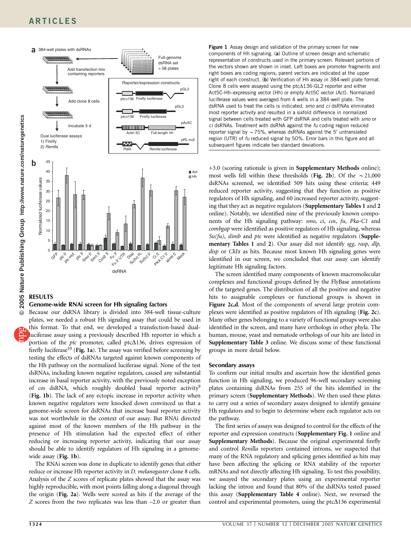## ARTICLES



## RESULTS

## Genome-wide RNAi screen for Hh signaling factors

Because our dsRNA library is divided into 384-well tissue-culture plates, we needed a robust Hh signaling assay that could be used in this format. To that end, we developed a transfection-based dualluciferase assay using a previously described Hh reporter in which a portion of the *ptc* promoter, called ptc $\Delta$ 136, drives expression of firefly luciferase<sup>10</sup> (Fig. 1a). The assay was verified before screening by testing the effects of dsRNAs targeted against known components of the Hh pathway on the normalized luciferase signal. None of the test dsRNAs, including known negative regulators, caused any substantial increase in basal reporter activity, with the previously noted exception of cos dsRNA, which roughly doubled basal reporter activity<sup>9</sup> (Fig. 1b). The lack of any ectopic increase in reporter activity when known negative regulators were knocked down convinced us that a genome-wide screen for dsRNAs that increase basal reporter activity was not worthwhile in the context of our assay. But RNAi directed against most of the known members of the Hh pathway in the presence of Hh stimulation had the expected effect of either reducing or increasing reporter activity, indicating that our assay should be able to identify regulators of Hh signaling in a genomewide assay (Fig. 1b).

The RNAi screen was done in duplicate to identify genes that either reduce or increase Hh reporter activity in *D. melanogaster* clone 8 cells. Analysis of the Z scores of replicate plates showed that the assay was highly reproducible, with most points falling along a diagonal through the origin (Fig. 2a). Wells were scored as hits if the average of the Z scores from the two replicates was less than –2.0 or greater than

Figure 1 Assay design and validation of the primary screen for new components of Hh signaling. (a) Outline of screen design and schematic representation of constructs used in the primary screen. Relevant portions of the vectors shown are shown in inset. Left boxes are promoter fragments and right boxes are coding regions; parent vectors are indicated at the upper right of each construct. (b) Verification of Hh assay in 384-well plate format. Clone 8 cells were assayed using the ptc $\Delta$ 136-GL2 reporter and either Act5C-Hh–expressing vector (Hh) or empty Act5C vector (Act). Normalized luciferase values were averaged from 4 wells in a 384-well plate. The dsRNA used to treat the cells is indicated. smo and ci dsRNAs eliminated most reporter activity and resulted in a sixfold difference in normalized signal between cells treated with GFP dsRNA and cells treated with smo or  $ci$  dsRNAs. Treatment with dsRNA against the  $fu$  coding region reduced reporter signal by  $\sim$  75%, whereas dsRNAs against the 5 $^{\prime}$  untranslated region (UTR) of fu reduced signal by 50%. Error bars in this figure and all subsequent figures indicate two standard deviations.

+3.0 (scoring rationale is given in Supplementary Methods online); most wells fell within these thresholds (Fig. 2b). Of the  $\sim$  21,000 dsRNAs screened, we identified 509 hits using these criteria; 449 reduced reporter activity, suggesting that they function as positive regulators of Hh signaling, and 60 increased reporter activity, suggesting that they act as negative regulators (Supplementary Tables 1 and 2 online). Notably, we identified nine of the previously known components of the Hh signaling pathway: smo, ci, cos, fu, Pka-C1 and combgap were identified as positive regulators of Hh signaling, whereas  $Su(tu)$ , slimb and ptc were identified as negative regulators (Supplementary Tables 1 and 2). Our assay did not identify sgg, rasp, dlp, disp or CkIa as hits. Because most known Hh signaling genes were identified in our screen, we concluded that our assay can identify legitimate Hh signaling factors.

The screen identified many components of known macromolecular complexes and functional groups defined by the FlyBase annotations of the targeted genes. The distribution of all the positive and negative hits to assignable complexes or functional groups is shown in Figure 2c,d. Most of the components of several large protein complexes were identified as positive regulators of Hh signaling (Fig. 2c). Many other genes belonging to a variety of functional groups were also identified in the screen, and many have orthologs in other phyla. The human, mouse, yeast and nematode orthologs of our hits are listed in Supplementary Table 3 online. We discuss some of these functional groups in more detail below.

## Secondary assays

To confirm our initial results and ascertain how the identified genes function in Hh signaling, we produced 96-well secondary screening plates containing dsRNAs from 255 of the hits identified in the primary screen (Supplementary Methods). We then used these plates to carry out a series of secondary assays designed to identify genuine Hh regulators and to begin to determine where each regulator acts on the pathway.

The first series of assays was designed to control for the effects of the reporter and expression constructs (Supplementary Fig. 1 online and Supplementary Methods). Because the original experimental firefly and control Renilla reporters contained introns, we suspected that many of the RNA regulatory and splicing genes identified as hits may have been affecting the splicing or RNA stability of the reporter mRNAs and not directly affecting Hh signaling. To test this possibility, we assayed the secondary plates using an experimental reporter lacking the intron and found that 80% of the dsRNAs tested passed this assay (Supplementary Table 4 online). Next, we reversed the control and experimental promoters, using the ptc $\Delta$ 136 experimental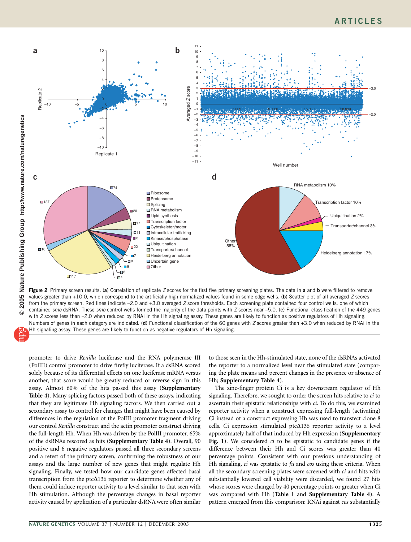

Nature Publishing Group http://www.nature.com/naturegenetics **© 2005 Nature Publishing Group http://www.nature.com/naturegenetics**2005  $\odot$ 

Figure 2 Primary screen results. (a) Correlation of replicate Z scores for the first five primary screening plates. The data in a and b were filtered to remove values greater than +10.0, which correspond to the artificially high normalized values found in some edge wells. (b) Scatter plot of all averaged Z scores from the primary screen. Red lines indicate -2.0 and +3.0 averaged Z score thresholds. Each screening plate contained four control wells, one of which contained smo dsRNA. These smo control wells formed the majority of the data points with  $Z$  scores near  $-5.0$ . (c) Functional classification of the 449 genes with Z scores less than -2.0 when reduced by RNAi in the Hh signaling assay. These genes are likely to function as positive regulators of Hh signaling. Numbers of genes in each category are indicated. (d) Functional classification of the 60 genes with Z scores greater than +3.0 when reduced by RNAi in the Hh signaling assay. These genes are likely to function as negative regulators of Hh signaling.

promoter to drive Renilla luciferase and the RNA polymerase III (PolIII) control promoter to drive firefly luciferase. If a dsRNA scored solely because of its differential effects on one luciferase mRNA versus another, that score would be greatly reduced or reverse sign in this assay. Almost 60% of the hits passed this assay (Supplementary Table 4). Many splicing factors passed both of these assays, indicating that they are legitimate Hh signaling factors. We then carried out a secondary assay to control for changes that might have been caused by differences in the regulation of the PolIII promoter fragment driving our control Renilla construct and the actin promoter construct driving the full-length Hh. When Hh was driven by the PolIII promoter, 65% of the dsRNAs rescored as hits (Supplementary Table 4). Overall, 90 positive and 6 negative regulators passed all three secondary screens and a retest of the primary screen, confirming the robustness of our assays and the large number of new genes that might regulate Hh signaling. Finally, we tested how our candidate genes affected basal transcription from the ptc $\Delta$ 136 reporter to determine whether any of them could induce reporter activity to a level similar to that seen with Hh stimulation. Although the percentage changes in basal reporter activity caused by application of a particular dsRNA were often similar

to those seen in the Hh-stimulated state, none of the dsRNAs activated the reporter to a normalized level near the stimulated state (comparing the plate means and percent changes in the presence or absence of Hh; Supplementary Table 4).

The zinc-finger protein Ci is a key downstream regulator of Hh signaling. Therefore, we sought to order the screen hits relative to ci to ascertain their epistatic relationships with ci. To do this, we examined reporter activity when a construct expressing full-length (activating) Ci instead of a construct expressing Hh was used to transfect clone 8 cells. Ci expression stimulated  $ptc\Delta136$  reporter activity to a level approximately half of that induced by Hh expression (Supplementary Fig. 1). We considered  $ci$  to be epistatic to candidate genes if the difference between their Hh and Ci scores was greater than 40 percentage points. Consistent with our previous understanding of Hh signaling,  $ci$  was epistatic to  $fu$  and  $cos$  using these criteria. When all the secondary screening plates were screened with  $ci$  and hits with substantially lowered cell viability were discarded, we found 27 hits whose scores were changed by 40 percentage points or greater when Ci was compared with Hh (Table 1 and Supplementary Table 4). A pattern emerged from this comparison: RNAi against cos substantially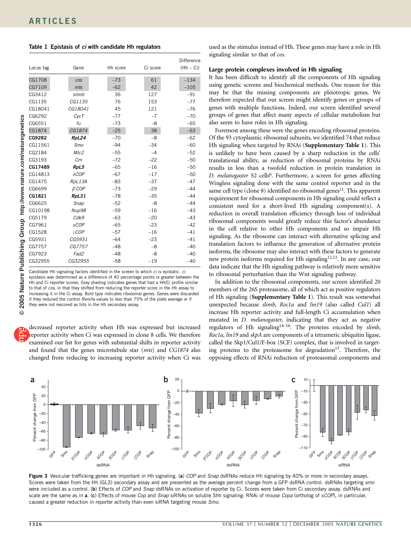Table 1 Epistasis of ci with candidate Hh regulators

| Locus tag | Gene         | Hh score | Ci score | Difference<br>$(Hh - Ci)$ |
|-----------|--------------|----------|----------|---------------------------|
| CG1708    | cos          | $-73$    | 61       | $-134$                    |
| CG7109    | mts          | $-62$    | 42       | $-105$                    |
| CG3412    | slimb        | 36       | 127      | $-91$                     |
| CG1135    | CG1135       | 76       | 153      | $-77$                     |
| CG18041   | CG18041      | 45       | 121      | $-76$                     |
| CG6292    | CycT         | $-77$    | $-7$     | $-70$                     |
| CG6551    | fu           | $-73$    | $-8$     | $-65$                     |
| CG1874    | CG1874       | $-25$    | 38       | $-63$                     |
| CG9282    | RpL24        | $-70$    | $-8$     | $-62$                     |
| CG11561   | Smo          | $-94$    | $-34$    | $-60$                     |
| CG2184    | Mlc2         | $-55$    | $-4$     | $-52$                     |
| CG3193    | Crn          | $-72$    | $-22$    | $-50$                     |
| CG17489   | RpL5         | $-65$    | $-16$    | $-50$                     |
| CG14813   | $\delta$ COP | $-67$    | $-17$    | $-50$                     |
| CG1475    | RpL13A       | $-83$    | $-37$    | $-47$                     |
| CG6699    | $\beta$ 'COP | $-73$    | $-29$    | $-44$                     |
| CG1821    | RpL31        | $-78$    | $-35$    | $-44$                     |
| CG6625    | Snap         | $-52$    | $-8$     | $-44$                     |
| CG10198   | Nup98        | $-59$    | $-16$    | $-43$                     |
| CG5179    | Cdk9         | $-63$    | $-20$    | $-43$                     |
| CG7961    | $\alpha COP$ | $-65$    | $-23$    | $-42$                     |
| CG1528    | $\gamma COP$ | $-57$    | $-16$    | $-41$                     |
| CG5931    | CG5931       | $-64$    | $-23$    | $-41$                     |
| CG7757    | CG7757       | $-48$    | $-8$     | $-40$                     |
| CG7923    | Fad2         | $-48$    | $-8$     | $-40$                     |
| CG32955   | CG32955      | $-58$    | $-19$    | $-40$                     |

Candidate Hh signaling factors identified in the screen to which ci is epistatic. ci epistasis was determined as a difference of 40 percentage points or greater between the Hh and Ci reporter scores. Gray shading indicates genes that had a Hh/Ci profile similar to that of cos, in that they shifted from reducing the reporter score in the Hh assay to increasing it in the Ci assay. Bold type indicates ribosomal genes. Genes were discarded if they reduced the control Renilla values to less than 75% of the plate average or if they were not rescored as hits in the Hh secondary assay.

decreased reporter activity when Hh was expressed but increased reporter activity when Ci was expressed in clone 8 cells. We therefore examined our list for genes with substantial shifts in reporter activity and found that the genes microtubule star (mts) and CG1874 also changed from reducing to increasing reporter activity when Ci was used as the stimulus instead of Hh. These genes may have a role in Hh signaling similar to that of cos.

## Large protein complexes involved in Hh signaling

It has been difficult to identify all the components of Hh signaling using genetic screens and biochemical methods. One reason for this may be that the missing components are pleiotropic genes. We therefore expected that our screen might identify genes or groups of genes with multiple functions. Indeed, our screen identified several groups of genes that affect many aspects of cellular metabolism but also seem to have roles in Hh signaling.

Foremost among these were the genes encoding ribosomal proteins. Of the 93 cytoplasmic ribosomal subunits, we identified 74 that reduce Hh signaling when targeted by RNAi (Supplementary Table 1). This is unlikely to have been caused by a sharp reduction in the cells' translational ability, as reduction of ribosomal proteins by RNAi results in less than a twofold reduction in protein translation in D. melanogaster S2 cells<sup>6</sup>. Furthermore, a screen for genes affecting Wingless signaling done with the same control reporter and in the same cell type (clone 8) identified no ribosomal genes<sup>11</sup>. This apparent requirement for ribosomal components in Hh signaling could reflect a consistent need for a short-lived Hh signaling component(s). A reduction in overall translation efficiency through loss of individual ribosomal components would greatly reduce this factor's abundance in the cell relative to other Hh components and so impair Hh signaling. As the ribosome can interact with alternative splicing and translation factors to influence the generation of alternative protein isoforms, the ribosome may also interact with these factors to generate new protein isoforms required for Hh signaling<sup>12,13</sup>. In any case, our data indicate that the Hh signaling pathway is relatively more sensitive to ribosomal perturbation than the Wnt signaling pathway.

In addition to the ribosomal components, our screen identified 20 members of the 26S proteasome, all of which act as positive regulators of Hh signaling (Supplementary Table 1). This result was somewhat unexpected because slimb, Roc1a and lin19 (also called Cul1) all increase Hh reporter activity and full-length Ci accumulation when mutated in D. melanogaster, indicating that they act as negative regulators of Hh signaling<sup>14-16</sup>. The proteins encoded by  $slimb$ , Roc1a, lin19 and skpA are components of a tetrameric ubiquitin ligase, called the Skp1/Cul1/F-box (SCF) complex, that is involved in targeting proteins to the proteasome for degradation<sup>17</sup>. Therefore, the opposing effects of RNAi reduction of proteasomal components and



Figure 3 Vesicular trafficking genes are important in Hh signaling. (a) COP and Snap dsRNAs reduce Hh signaling by 40% or more in secondary assays. Scores were taken from the Hh (GL3) secondary assay and are presented as the average percent change from a GFP dsRNA control. dsRNAs targeting smo were included as a control. (b) Effects of COP and Snap dsRNAs on activation of reporter by Ci. Scores were taken from Ci secondary assay. dsRNAs and scale are the same as in a. (c) Effects of mouse Cop and Snap siRNAs on soluble Shh signaling. RNAi of mouse Copa (ortholog of  $\alpha COP$ ), in particular, caused a greater reduction in reporter activity than even siRNA targeting mouse Smo.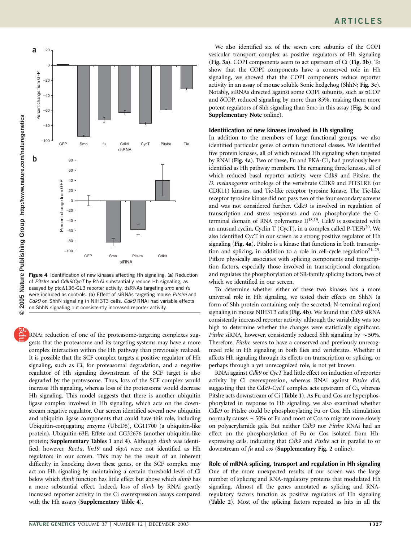

Figure 4 Identification of new kinases affecting Hh signaling. (a) Reduction of Pitslre and Cdk9/CycT by RNAi substantially reduce Hh signaling, as assayed by ptc $\Delta$ 136-GL3 reporter activity. dsRNAs targeting smo and fu were included as controls. (b) Effect of siRNAs targeting mouse Pitslre and Cdk9 on ShhN signaling in NIH3T3 cells. Cdk9 RNAi had variable effects on ShhN signaling but consistently increased reporter activity.

RNAi reduction of one of the proteasome-targeting complexes suggests that the proteasome and its targeting systems may have a more complex interaction within the Hh pathway than previously realized. It is possible that the SCF complex targets a positive regulator of Hh signaling, such as Ci, for proteasomal degradation, and a negative regulator of Hh signaling downstream of the SCF target is also degraded by the proteasome. Thus, loss of the SCF complex would increase Hh signaling, whereas loss of the proteasome would decrease Hh signaling. This model suggests that there is another ubiquitin ligase complex involved in Hh signaling, which acts on the downstream negative regulator. Our screen identified several new ubiquitin and ubiquitin ligase components that could have this role, including Ubiquitin-conjugating enzyme (UbcD6), CG11700 (a ubiquitin-like protein), Ubiquitin-63E, Effete and CG32676 (another ubiquitin-like protein; Supplementary Tables 1 and 4). Although slimb was identified, however, Roc1a, lin19 and skpA were not identified as Hh regulators in our screen. This may be the result of an inherent difficulty in knocking down these genes, or the SCF complex may act on Hh signaling by maintaining a certain threshold level of Ci below which slimb function has little effect but above which slimb has a more substantial effect. Indeed, loss of slimb by RNAi greatly increased reporter activity in the Ci overexpression assays compared with the Hh assays (Supplementary Table 4).

We also identified six of the seven core subunits of the COPI vesicular transport complex as positive regulators of Hh signaling (Fig. 3a). COPI components seem to act upstream of Ci (Fig. 3b). To show that the COPI components have a conserved role in Hh signaling, we showed that the COPI components reduce reporter activity in an assay of mouse soluble Sonic hedgehog (ShhN; Fig. 3c). Notably, siRNAs directed against some COPI subunits, such as aCOP and  $\delta$ COP, reduced signaling by more than 85%, making them more potent regulators of Shh signaling than Smo in this assay (Fig. 3c and Supplementary Note online).

## Identification of new kinases involved in Hh signaling

In addition to the members of large functional groups, we also identified particular genes of certain functional classes. We identified five protein kinases, all of which reduced Hh signaling when targeted by RNAi (Fig. 4a). Two of these, Fu and PKA-C1, had previously been identified as Hh pathway members. The remaining three kinases, all of which reduced basal reporter activity, were Cdk9 and Pitslre, the D. melanogaster orthologs of the vertebrate CDK9 and PITSLRE (or CDK11) kinases, and Tie-like receptor tyrosine kinase. The Tie-like receptor tyrosine kinase did not pass two of the four secondary screens and was not considered further. Cdk9 is involved in regulation of transcription and stress responses and can phosphorylate the Cterminal domain of RNA polymerase  $II^{18,19}$ . Cdk9 is associated with an unusual cyclin, Cyclin T (CycT), in a complex called P-TEFb<sup>20</sup>. We also identified CycT in our screen as a strong positive regulator of Hh signaling (Fig. 4a). Pitslre is a kinase that functions in both transcription and splicing, in addition to a role in cell-cycle regulation<sup>21-23</sup>. Pitlsre physically associates with splicing components and transcription factors, especially those involved in transcriptional elongation, and regulates the phosphorylation of SR-family splicing factors, two of which we identified in our screen.

To determine whether either of these two kinases has a more universal role in Hh signaling, we tested their effects on ShhN (a form of Shh protein containing only the secreted, N-terminal region) signaling in mouse NIH3T3 cells (Fig. 4b). We found that Cdk9 siRNA consistently increased reporter activity, although the variability was too high to determine whether the changes were statistically significant. Pitslre siRNA, however, consistently reduced Shh signaling by  $\sim$  50%. Therefore, Pitslre seems to have a conserved and previously unrecognized role in Hh signaling in both flies and vertebrates. Whether it affects Hh signaling through its effects on transcription or splicing, or perhaps through a yet unrecognized role, is not yet known.

RNAi against Cdk9 or CycT had little effect on induction of reporter activity by Ci overexpression, whereas RNAi against Pitslre did, suggesting that the Cdk9-CycT complex acts upstream of Ci, whereas Pitslre acts downstream of Ci (Table 1). As Fu and Cos are hyperphosphorylated in response to Hh signaling, we also examined whether Cdk9 or Pitslre could be phosphorylating Fu or Cos. Hh stimulation normally causes  $\sim$  50% of Fu and most of Cos to migrate more slowly on polyacrylamide gels. But neither Cdk9 nor Pitslre RNAi had an effect on the phosphorylation of Fu or Cos isolated from Hhexpressing cells, indicating that Cdk9 and Pitslre act in parallel to or downstream of fu and cos (Supplementary Fig. 2 online).

Role of mRNA splicing, transport and regulation in Hh signaling One of the more unexpected results of our screen was the large number of splicing and RNA-regulatory proteins that modulated Hh signaling. Almost all the genes annotated as splicing and RNAregulatory factors function as positive regulators of Hh signaling (Table 2). Most of the splicing factors repeated as hits in all the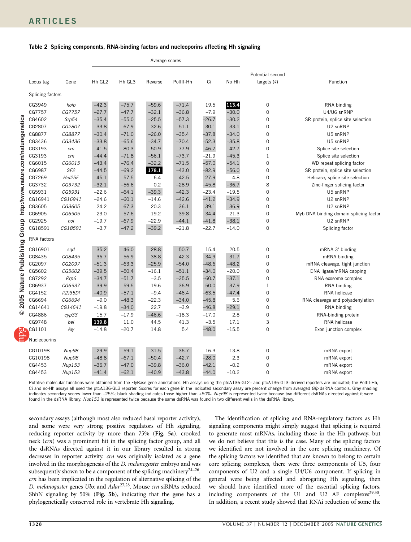| Table 2 Splicing components, RNA-binding factors and nucleoporins affecting Hh signaling |
|------------------------------------------------------------------------------------------|
|------------------------------------------------------------------------------------------|

|                                      |                  |                 | Average scores |         |         |           |         |         |                                 |                                        |
|--------------------------------------|------------------|-----------------|----------------|---------|---------|-----------|---------|---------|---------------------------------|----------------------------------------|
|                                      | Locus tag        | Gene            | Hh GL2         | Hh GL3  | Reverse | PollII-Hh | Ci      | No Hh   | Potential second<br>targets (#) | Function                               |
|                                      | Splicing factors |                 |                |         |         |           |         |         |                                 |                                        |
|                                      | CG3949           | hoip            | $-42.3$        | $-75.7$ | $-59.6$ | $-71.4$   | 19.5    | 113.4   | $\mathbf 0$                     | RNA binding                            |
|                                      | CG7757           | CG7757          | $-27.7$        | $-47.7$ | $-32.1$ | $-36.8$   | $-7.9$  | $-30.0$ | $\mathbf 0$                     | U4/U6 snRNP                            |
|                                      | CG4602           | Srp54           | $-35.4$        | $-55.0$ | $-25.5$ | $-57.3$   | $-26.7$ | $-30.2$ | 0                               | SR protein, splice site selection      |
|                                      | CG2807           | CG2807          | $-33.8$        | $-67.9$ | $-32.6$ | $-51.1$   | $-30.1$ | $-33.1$ | $\mathbf 0$                     | U2 snRNP                               |
| http://www.nature.com/naturegenetics | CG8877           | CG8877          | $-30.4$        | $-71.0$ | $-26.0$ | $-35.4$   | $-37.8$ | $-34.0$ | 0                               | U5 snRNP                               |
|                                      | CG3436           | CG3436          | $-33.8$        | $-65.6$ | $-34.7$ | $-70.4$   | $-52.3$ | $-35.8$ | $\overline{0}$                  | U5 snRNP                               |
|                                      | CG3193           | crn             | $-41.5$        | $-80.3$ | $-50.9$ | $-77.9$   | $-46.7$ | $-42.7$ | $\overline{0}$                  | Splice site selection                  |
|                                      | CG3193           | crn             | $-44.4$        | $-71.8$ | $-56.1$ | $-73.7$   | $-21.9$ | $-45.3$ | $\mathbf{1}$                    | Splice site selection                  |
|                                      | CG6015           | CG6015          | $-43.4$        | $-76.4$ | $-32.2$ | $-71.5$   | $-57.0$ | $-54.1$ | $\mathbf 0$                     | WD repeat splicing factor              |
|                                      | CG6987           | SF <sub>2</sub> | $-44.5$        | $-69.2$ | 178.1   | $-43.0$   | $-82.9$ | $-56.0$ | $\mathbf 0$                     | SR protein, splice site selection      |
|                                      | CG7269           | Hel25E          | $-45.1$        | $-57.5$ | $-6.4$  | $-42.5$   | $-27.9$ | $-4.8$  | 0                               | Helicase, splice site selection        |
|                                      | CG3732           | CG3732          | $-32.1$        | $-56.6$ | 0.2     | $-28.9$   | $-45.8$ | $-36.7$ | 8                               | Zinc-finger splicing factor            |
|                                      | CG5931           | CG5931          | $-22.6$        | $-64.1$ | $-39.3$ | $-42.3$   | $-23.4$ | $-19.5$ | $\mathbf 0$                     | U5 snRNP                               |
|                                      | CG16941          | CG16941         | $-24.6$        | $-60.1$ | $-14.6$ | $-42.6$   | $-41.2$ | $-34.9$ | $\mathbf 0$                     | U2 snRNP                               |
|                                      | CG3605           | CG3605          | $-24.2$        | $-67.3$ | $-20.3$ | $-36.1$   | $-39.1$ | $-36.9$ | $\mathbf 0$                     | U2 snRNP                               |
|                                      | CG6905           | CG6905          | $-23.0$        | $-57.6$ | $-19.2$ | $-39.8$   | $-34.4$ | $-21.3$ | $\mathbf 0$                     | Myb DNA-binding domain splicing factor |
|                                      | CG2925           | noi             | $-19.7$        | $-67.9$ | $-22.9$ | $-44.1$   | $-41.8$ | $-38.1$ | $\mathbf 0$                     | U2 snRNP                               |
|                                      | CG18591          | CG18591         | $-3.7$         | $-47.2$ | $-39.2$ | $-21.8$   | $-22.7$ | $-14.0$ | $\mathbf 0$                     | Splicing factor                        |
| 2005 Nature Publishing Group         | RNA factors      |                 |                |         |         |           |         |         |                                 |                                        |
|                                      | CG16901          | sqd             | $-35.2$        | $-46.0$ | $-28.8$ | $-50.7$   | $-15.4$ | $-20.5$ | $\mathbf 0$                     | mRNA 3' binding                        |
|                                      | CG8435           | CG8435          | $-36.7$        | $-56.9$ | $-38.8$ | $-42.3$   | $-34.9$ | $-31.7$ | $\mathbf 0$                     | mRNA binding                           |
|                                      | CG2097           | CG2097          | $-51.3$        | $-63.3$ | $-25.9$ | $-54.0$   | $-48.6$ | $-48.2$ | $\mathbf 0$                     | mRNA cleavage, tight junction          |
|                                      | CG5602           | CG5602          | $-39.5$        | $-50.4$ | $-16.1$ | $-51.1$   | $-34.0$ | $-20.0$ | 0                               | DNA ligase/mRNA capping                |
|                                      | CG7292           | Rrp6            | $-34.7$        | $-51.7$ | $-3.5$  | $-35.5$   | $-60.7$ | $-37.1$ | $\mathbf 0$                     | RNA exosome complex                    |
|                                      | CG6937           | CG6937          | $-39.9$        | $-59.5$ | $-19.6$ | $-36.9$   | $-50.0$ | $-37.9$ | $\mathbf{1}$                    | RNA binding                            |
|                                      | CG4152           | I(2)35Df        | $-40.9$        | $-57.1$ | $-9.4$  | $-46.4$   | $-63.5$ | $-47.4$ | $\mathbf 0$                     | RNA helicase                           |
|                                      | CG6694           | CG6694          | $-9.0$         | $-48.3$ | $-22.3$ | $-34.0$   | $-45.8$ | 5.6     | $\mathbf 0$                     | RNA cleavage and polyadenylation       |
|                                      | CG14641          | CG14641         | $-19.8$        | $-34.0$ | 22.7    | $-3.9$    | $-46.8$ | $-29.1$ | $\mathbf 0$                     | RNA binding                            |
| ⊚                                    | CG4886           | $c$ v $p33$     | 15.7           | $-17.9$ | $-46.6$ | $-18.3$   | $-17.0$ | 2.8     | $\mathbf 0$                     | RNA-binding protein                    |
|                                      | CG9748           | bel             | 139.8          | 11.0    | 44.5    | 41.3      | $-3.5$  | 17.1    | 3                               | RNA helicase                           |
|                                      | $50$ CG1101      | Aly             | $-14.8$        | $-20.7$ | 14.8    | 5.4       | $-48.0$ | $-15.5$ | $\overline{0}$                  | Exon junction complex                  |
| ≏                                    | Nucleoporins     |                 |                |         |         |           |         |         |                                 |                                        |
|                                      | CG10198          | Nup98           | $-29.9$        | $-59.1$ | $-31.5$ | $-36.7$   | $-16.3$ | 13.8    | 0                               | mRNA export                            |
|                                      | CG10198          | Nup98           | $-48.8$        | $-67.1$ | $-50.4$ | $-42.7$   | $-28.0$ | 2.3     | $\mathbf 0$                     | mRNA export                            |
|                                      | CG4453           | Nup153          | $-36.7$        | $-47.0$ | $-39.8$ | $-36.0$   | $-42.1$ | $-0.2$  | 0                               | mRNA export                            |
|                                      | CG4453           | Nup153          | $-41.4$        | $-62.1$ | $-40.9$ | $-43.8$   | $-44.0$ | $-10.2$ | 0                               | mRNA export                            |

Putative molecular functions were obtained from the FlyBase gene annotations. Hh assays using the ptc $\Delta136-GL2$ – and ptc $\Delta136-GL3$ –derived reporters are indicated; the PolIII-Hh, Ci and no-Hh assays all used the ptc $\Delta 136$ -GL3 reporter. Scores for each gene in the indicated secondary assay are percent change from averaged Gfp dsRNA controls. Gray shading indicates secondary scores lower than -25%; black shading indicates those higher than +50%. Nup98 is represented twice because two different dsRNAs directed against it were found in the dsRNA library. Nup153 is represented twice because the same dsRNA was found in two different wells in the dsRNA library.

secondary assays (although most also reduced basal reporter activity), and some were very strong positive regulators of Hh signaling, reducing reporter activity by more than 75% (Fig. 5a). crooked neck (crn) was a prominent hit in the splicing factor group, and all the dsRNAs directed against it in our library resulted in strong decreases in reporter activity. crn was originally isolated as a gene involved in the morphogenesis of the D. melanogaster embryo and was subsequently shown to be a component of the splicing machinery<sup>24–26</sup>. crn has been implicated in the regulation of alternative splicing of the D. melanogaster genes Ubx and Adar<sup>27,28</sup>. Mouse crn siRNAs reduced ShhN signaling by 50% (Fig. 5b), indicating that the gene has a phylogenetically conserved role in vertebrate Hh signaling.

The identification of splicing and RNA-regulatory factors as Hh signaling components might simply suggest that splicing is required to generate most mRNAs, including those in the Hh pathway, but we do not believe that this is the case. Many of the splicing factors we identified are not involved in the core splicing machinery. Of the splicing factors we identified that are known to belong to certain core splicing complexes, there were three components of U5, four components of U2 and a single U4/U6 component. If splicing in general were being affected and abrogating Hh signaling, then we should have identified more of the essential splicing factors, including components of the U1 and U2 AF complexes $29,30$ . In addition, a recent study showed that RNAi reduction of some the

@ 2005 Nature Publishing Group http://www.nature.com/naturegenetics

ppg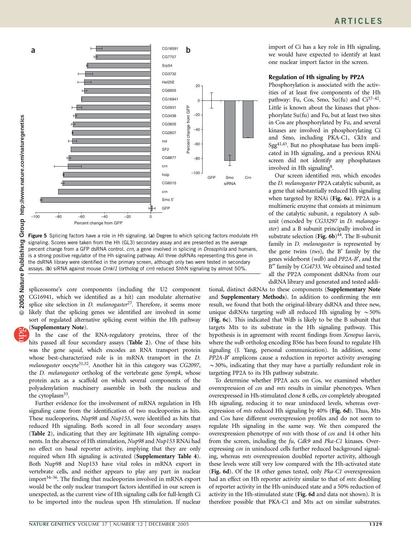

Figure 5 Splicing factors have a role in Hh signaling. (a) Degree to which splicing factors modulate Hh signaling. Scores were taken from the Hh (GL3) secondary assay and are presented as the average percent change from a GFP dsRNA control. crn, a gene involved in splicing in Drosophila and humans, is a strong positive regulator of the Hh signaling pathway. All three dsRNAs representing this gene in the dsRNA library were identified in the primary screen, although only two were tested in secondary assays. (b) siRNA against mouse Crnkl1 (ortholog of crn) reduced ShhN signaling by almost 50%.

spliceosome's core components (including the U2 component CG16941, which we identified as a hit) can modulate alternative splice site selection in D. melanogaster<sup>27</sup>. Therefore, it seems more likely that the splicing genes we identified are involved in some sort of regulated alternative splicing event within the Hh pathway

## (Supplementary Note).

In the case of the RNA-regulatory proteins, three of the hits passed all four secondary assays (Table 2). One of these hits was the gene squid, which encodes an RNA transport protein whose best-characterized role is in mRNA transport in the D. melanogaster  $\text{ocyte}^{31,32}$ . Another hit in this category was CG2097, the D. melanogaster ortholog of the vertebrate gene Sympk, whose protein acts as a scaffold on which several components of the polyadenylation machinery assemble in both the nucleus and the cytoplasm<sup>33</sup>.

Further evidence for the involvement of mRNA regulation in Hh signaling came from the identification of two nucleoporins as hits. These nucleoporins, Nup98 and Nup153, were identified as hits that reduced Hh signaling. Both scored in all four secondary assays (Table 2), indicating that they are legitimate Hh signaling components. In the absence of Hh stimulation, Nup98 and Nup153 RNAi had no effect on basal reporter activity, implying that they are only required when Hh signaling is activated (Supplementary Table 4). Both Nup98 and Nup153 have vital roles in mRNA export in vertebrate cells, and neither appears to play any part in nuclear import<sup>34-36</sup>. The finding that nucleoporins involved in mRNA export would be the only nuclear transport factors identified in our screen is unexpected, as the current view of Hh signaling calls for full-length Ci to be imported into the nucleus upon Hh stimulation. If nuclear

import of Ci has a key role in Hh signaling, we would have expected to identify at least one nuclear import factor in the screen.

## Regulation of Hh signaling by PP2A

Phosphorylation is associated with the activities of at least five components of the Hh pathway: Fu, Cos, Smo, Su(fu) and  $Ci^{37-42}$ . Little is known about the kinases that phosphorylate Su(fu) and Fu, but at least two sites in Cos are phosphorylated by Fu, and several kinases are involved in phosphorylating Ci and Smo, including PKA-C1, CkIa and Sgg41,43. But no phosphatase has been implicated in Hh signaling, and a previous RNAi screen did not identify any phosphatases involved in Hh signaling<sup>9</sup>.

Our screen identified mts, which encodes the D. melanogaster PP2A catalytic subunit, as a gene that substantially reduced Hh signaling when targeted by RNAi (Fig. 6a). PP2A is a multimeric enzyme that consists at minimum of the catalytic subunit, a regulatory A subunit (encoded by CG33297 in D. melanogaster) and a B subunit principally involved in substrate selection (Fig.  $6b$ )<sup>44</sup>. The B-subunit family in *D. melanogaster* is represented by the gene twins  $(tws)$ , the B' family by the genes widerborst (wdb) and PP2A-B', and the B" family by CG4733. We obtained and tested all the PP2A component dsRNAs from our dsRNA library and generated and tested addi-

tional, distinct dsRNAs to these components (Supplementary Note and Supplementary Methods). In addition to confirming the mts result, we found that both the original-library dsRNA and three new, unique dsRNAs targeting wdb all reduced Hh signaling by  $\sim$  50% (Fig. 6c). This indicated that Wdb is likely to be the B subunit that targets Mts to its substrate in the Hh signaling pathway. This hypothesis is in agreement with recent findings from Xenopus laevis, where the wdb ortholog encoding B56e has been found to regulate Hh signaling (J. Yang, personal communication). In addition, some PP2A-B' amplicons cause a reduction in reporter activity averaging  $\sim$ 30%, indicating that they may have a partially redundant role in targeting PP2A to its Hh pathway substrate.

To determine whether PP2A acts on Cos, we examined whether overexpression of cos and mts results in similar phenotypes. When overexpressed in Hh-stimulated clone 8 cells, cos completely abrogated Hh signaling, reducing it to near uninduced levels, whereas overexpression of mts reduced Hh signaling by 40% (Fig. 6d). Thus, Mts and Cos have different overexpression profiles and do not seem to regulate Hh signaling in the same way. We then compared the overexpression phenotype of mts with those of cos and 14 other hits from the screen, including the fu, Cdk9 and Pka-C1 kinases. Overexpressing cos in uninduced cells further reduced background signaling, whereas mts overexpression doubled reporter activity, although these levels were still very low compared with the Hh-activated state (Fig. 6d). Of the 18 other genes tested, only Pka-C1 overexpression had an effect on Hh reporter activity similar to that of mts: doubling of reporter activity in the Hh-uninduced state and a 50% reduction of activity in the Hh-stimulated state (Fig. 6d and data not shown). It is therefore possible that PKA-C1 and Mts act on similar substrates.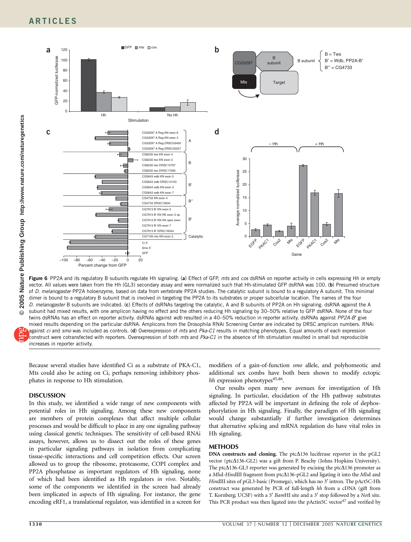# ARTICLES



Figure 6 PP2A and its regulatory B subunits regulate Hh signaling. (a) Effect of GFP, mts and cos dsRNA on reporter activity in cells expressing Hh or empty vector. All values were taken from the Hh (GL3) secondary assay and were normalized such that Hh-stimulated GFP dsRNA was 100. (b) Presumed structure of D. melanogaster PP2A holoenzyme, based on data from vertebrate PP2A studies. The catalytic subunit is bound to a regulatory A subunit. This minimal dimer is bound to a regulatory B subunit that is involved in targeting the PP2A to its substrates or proper subcellular location. The names of the four D. melanogaster B subunits are indicated. (c) Effects of dsRNAs targeting the catalytic, A and B subunits of PP2A on Hh signaling. dsRNA against the A subunit had mixed results, with one amplicon having no effect and the others reducing Hh signaling by 30–50% relative to GFP dsRNA. None of the four twins dsRNAs has an effect on reporter activity. dsRNAs against wdb resulted in a 40–50% reduction in reporter activity. dsRNAs against PP2A-B' give mixed results depending on the particular dsRNA. Amplicons from the Drosophila RNAi Screening Center are indicated by DRSC amplicon numbers. RNAi against ci and smo was included as controls. (d) Overexpression of mts and Pka-C1 results in matching phenotypes. Equal amounts of each expression construct were cotransfected with reporters. Overexpression of both mts and Pka-C1 in the absence of Hh stimulation resulted in small but reproducible increases in reporter activity.

Because several studies have identified Ci as a substrate of PKA-C1, Mts could also be acting on Ci, perhaps removing inhibitory phosphates in response to Hh stimulation.

## **DISCUSSION**

In this study, we identified a wide range of new components with potential roles in Hh signaling. Among these new components are members of protein complexes that affect multiple cellular processes and would be difficult to place in any one signaling pathway using classical genetic techniques. The sensitivity of cell-based RNAi assays, however, allows us to dissect out the roles of these genes in particular signaling pathways in isolation from complicating tissue-specific interactions and cell competition effects. Our screen allowed us to group the ribosome, proteasome, COPI complex and PP2A phosphatase as important regulators of Hh signaling, none of which had been identified as Hh regulators in vivo. Notably, some of the components we identified in the screen had already been implicated in aspects of Hh signaling. For instance, the gene encoding eRF1, a translational regulator, was identified in a screen for modifiers of a gain-of-function smo allele, and polyhomeotic and additional sex combs have both been shown to modify ectopic  $hh$  expression phenotypes<sup>45,46</sup>.

Our results open many new avenues for investigation of Hh signaling. In particular, elucidation of the Hh pathway substrates affected by PP2A will be important in defining the role of dephosphorylation in Hh signaling. Finally, the paradigm of Hh signaling would change substantially if further investigation determines that alternative splicing and mRNA regulation do have vital roles in Hh signaling.

## **METHODS**

DNA constructs and cloning. The ptc $\Delta$ 136 luciferase reporter in the pGL2 vector (ptc $\Delta$ 136-GL2) was a gift from P. Beachy (Johns Hopkins University). The ptc $\Delta$ 136-GL3 reporter was generated by excising the ptc $\Delta$ 136 promoter as a MluI-HindIII fragment from ptc $\Delta$ 136-pGL2 and ligating it into the MluI and HindIII sites of pGL3-basic (Promega), which has no 3' intron. The pAct5C-Hh construct was generated by PCR of full-length hh from a cDNA (gift from T. Kornberg; UCSF) with a 5<sup>'</sup> BamHI site and a 3' stop followed by a NotI site. This PCR product was then ligated into the pActin5C vector<sup>47</sup> and verified by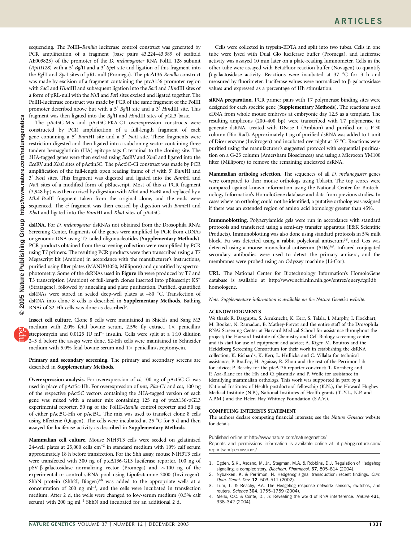sequencing. The PolIII–Renilla luciferase control construct was generated by PCR amplification of a fragment (base pairs 43,224–43,389 of scaffold AE003823) of the promoter of the D. melanogaster RNA PolIII 128 subunit (RpIII128) with a 5' BglII and a 3' SpeI site and ligation of this fragment into the BgIII and SpeI sites of pRL-null (Promega). The ptc $\Delta$ 136-Renilla construct was made by excision of a fragment containing the  $ptc\Delta136$  promoter region with SacI and HindIII and subsequent ligation into the SacI and HindIII sites of a form of pRL-null with the NsiI and PstI sites excised and ligated together. The PolIII-luciferase construct was made by PCR of the same fragment of the PolIII promoter described above but with a 5' BgIII site and a 3' HindIII site. This fragment was then ligated into the BglII and HindIII sites of pGL3-basic.

The pAct5C-Mts and pAct5C-PKA-C1 overexpression constructs were constructed by PCR amplification of a full-length fragment of each gene containing a 5' BamHI site and a 3' NotI site. These fragments were restriction-digested and then ligated into a subcloning vector containing three tandem hemagglutinin (HA) epitope tags C-terminal to the cloning site. The 3HA-tagged genes were then excised using EcoRV and XbaI and ligated into the EcoRV and XbaI sites of pActin5C. The pAct5C-Ci construct was made by PCR amplification of the full-length open reading frame of ci with 5' BamHI and 3¢ NotI sites. This fragment was digested and ligated into the BamHI and NotI sites of a modified form of pBluescript. Most of this ci PCR fragment (3,948 bp) was then excised by digestion with MluI and BsaBI and replaced by a MluI-BsaBI fragment taken from the original clone, and the ends were sequenced. The ci fragment was then excised by digestion with BamHI and XbaI and ligated into the BamHI and XbaI sites of pAct5C.

dsRNA. For *D. melanogaster* dsRNAs not obtained from the Drosophila RNAi Screening Center, fragments of the genes were amplified by PCR from cDNAs or genomic DNA using T7-tailed oligonucleotides (Supplementary Methods). PCR products obtained from the screening collection were reamplified by PCR using T7 primers. The resulting PCR products were then transcribed using a T7 Megascript kit (Ambion) in accordance with the manufacturer's instructions, purified using filter plates (MANU03050; Millipore) and quantified by spectrophotometry. Some of the dsRNAs used in Figure 1b were produced by T7 and T3 transcription (Ambion) of full-length clones inserted into pBluescript KS+ (Stratagene), followed by annealing and plate purification. Purified, quantified dsRNAs were stored in sealed deep-well plates at -80 °C. Transfection of dsRNA into clone 8 cells is described in Supplementary Methods. Bathing RNAi of S2-Hh cells was done as described<sup>5</sup>.

Insect cell culture. Clone 8 cells were maintained in Shields and Sang M3 medium with 2.0% fetal bovine serum, 2.5% fly extract,  $1 \times$  penicillin/ streptomycin and 0.0125 IU ml<sup>-1</sup> insulin. Cells were split at a 1:10 dilution 2–3 d before the assays were done. S2-Hh cells were maintained in Schneider medium with 5.0% fetal bovine serum and  $1 \times$  penicillin/streptomycin.

Primary and secondary screening. The primary and secondary screens are described in Supplementary Methods.

Overexpression analysis. For overexpression of ci, 100 ng of pAct5C-Ci was used in place of pAct5c-Hh. For overexpression of mts, Pka-C1 and cos, 100 ng of the respective pAct5C vectors containing the 3HA-tagged version of each gene was mixed with a master mix containing 125 ng of ptc $\Delta$ 136-pGL3 experimental reporter, 50 ng of the PolIII-Renilla control reporter and 50 ng of either pAct5C-Hh or pAct5C. The mix was used to transfect clone 8 cells using Effectene (Qiagen). The cells were incubated at 25  $\degree$ C for 5 d and then assayed for luciferase activity as described in Supplementary Methods.

Mammalian cell culture. Mouse NIH3T3 cells were seeded on gelatinized 24-well plates at 25,000 cells  $cm^{-2}$  in standard medium with 10% calf serum approximately 18 h before transfection. For the Shh assay, mouse NIH3T3 cells were transfected with 300 ng of ptc $\Delta$ 136-GL3 luciferase reporter, 100 ng of pSV- $\beta$ -galactosidase normalizing vector (Promega) and  $\sim$ 100 ng of the experimental or control siRNA pool using Lipofectamine 2000 (Invitrogen). ShhN protein (Shh2I; Biogen)<sup>48</sup> was added to the appropriate wells at a concentration of 200 ng ml–1, and the cells were incubated in transfection medium. After 2 d, the wells were changed to low-serum medium (0.5% calf serum) with 200 ng  $ml^{-1}$  ShhN and incubated for an additional 2 d.

Cells were collected in trypsin-EDTA and split into two tubes. Cells in one tube were lysed with Dual Glo luciferase buffer (Promega), and luciferase activity was assayed 10 min later on a plate-reading luminometer. Cells in the other tube were assayed with BetaFluor reaction buffer (Novagen) to quantify  $\beta$ -galactosidase activity. Reactions were incubated at 37 °C for 3 h and measured by fluorimeter. Luciferase values were normalized to  $\beta$ -galactosidase values and expressed as a percentage of Hh stimulation.

siRNA preparation. PCR primer pairs with T7 polymerase binding sites were designed for each specific gene (Supplementary Methods). The reactions used cDNA from whole mouse embryos at embryonic day 12.5 as a template. The resulting amplicons (200–400 bp) were transcribed with T7 polymerase to generate dsRNA, treated with DNase I (Ambion) and purified on a P-30 column (Bio-Rad). Approximately 1 μg of purified dsRNA was added to 1 unit of Dicer enzyme (Invitrogen) and incubated overnight at 37 °C. Reactions were purified using the manufacturer's suggested protocol with sequential purification on a G-25 column (Amersham Biosciences) and using a Microcon YM100 filter (Millipore) to remove the remaining uncleaved dsRNA.

Mammalian ortholog selection. The sequences of all *D. melanogaster* genes were compared to their mouse orthologs using Tblastn. The top scores were compared against known information using the National Center for Biotechnology Information's HomoloGene database and data from previous studies. In cases where an ortholog could not be identified, a putative ortholog was assigned if there was an extended region of amino acid homology greater than 45%.

Immunoblotting. Polyacrylamide gels were run in accordance with standard protocols and transferred using a semi-dry transfer apparatus (E&K Scientific Products). Immunoblotting was also done using standard protocols in 5% milk block. Fu was detected using a rabbit polyclonal antiserum<sup>38</sup>, and Cos was detected using a mouse monoclonal antiserum (5D6)<sup>49</sup>. Infrared-conjugated secondary antibodies were used to detect the primary antisera, and the membranes were probed using an Odyssey machine (Li-Cor).

URL. The National Center for Biotechnology Information's HomoloGene database is available at http://www.ncbi.nlm.nih.gov/entrez/query.fcgi?db= homologene.

Note: Supplementary information is available on the Nature Genetics website.

#### ACKNOWLEDGMENTS

We thank R. Dasgupta, S. Armknecht, K. Kerr, S. Talala, J. Murphy, I. Flockhart, M. Booker, N. Ramadan, B. Mathey-Prevot and the entire staff of the Drosophila RNAi Screening Center at Harvard Medical School for assistance throughout the project; the Harvard Institute of Chemistry and Cell Biology screening center and its staff for use of equipment and advice; A. Kiger, M. Boutros and the Heidelberg Screening Consortium for their work in establishing the dsRNA collection; K. Richards, K. Kerr, L. Hrdlicka and C. Villalta for technical assistance; P. Bradley, H. Agaisse, R. Zhou and the rest of the Perrimon lab for advice; P. Beachy for the ptc $\Delta 136$  reporter construct; T. Kornberg and P. Aza-Blanc for the Hh and Ci plasmids; and P. Wolfe for assistance in identifying mammalian orthologs. This work was supported in part by a National Institutes of Health postdoctoral fellowship (K.N.), the Howard Hughes Medical Institute (N.P.), National Institutes of Health grants (T.-Y.L., N.P. and A.P.M.) and the Helen Hay Whitney Foundation (S.A.V.).

## COMPETING INTERESTS STATEMENT

The authors declare competing financial interests; see the Nature Genetics website for details.

Published online at http://www.nature.com/naturegenetics/

Reprints and permissions information is available online at http://npg.nature.com/ reprintsandpermissions/

- 1. Ogden, S.K., Ascano, M. Jr., Stegman, M.A. & Robbins, D.J. Regulation of Hedgehog signaling: a complex story. Biochem. Pharmacol. 67, 805-814 (2004).
- Nybakken, K. & Perrimon, N. Hedgehog signal transduction: recent findings. Curr. Opin. Genet. Dev. 12, 503–511 (2002).
- 3. Lum, L. & Beachy, P.A. The Hedgehog response network: sensors, switches, and routers. Science 304, 1755-1759 (2004).
- 4. Mello, C.C. & Conte, D., Jr. Revealing the world of RNA interference. Nature 431, 338–342 (2004).